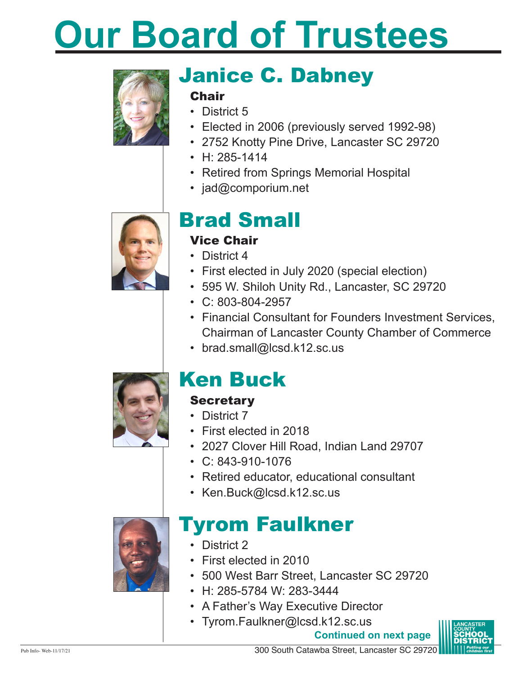# **Our Board of Trustees**



# Janice C. Dabney

#### **Chair**

- District 5
- Elected in 2006 (previously served 1992-98)
- 2752 Knotty Pine Drive, Lancaster SC 29720
- $\cdot$  H: 285-1414
- Retired from Springs Memorial Hospital
- jad@comporium.net



### Brad Small

### Vice Chair

- District 4
- First elected in July 2020 (special election)
- • 595 W. Shiloh Unity Rd., Lancaster, SC 29720
- • C: 803-804-2957
- Financial Consultant for Founders Investment Services, Chairman of Lancaster County Chamber of Commerce
- brad.small@lcsd.k12.sc.us



### Ken Buck

### **Secretary**

- District 7
- • First elected in 2018
- • 2027 Clover Hill Road, Indian Land 29707
- $\cdot$  C: 843-910-1076
- Retired educator, educational consultant
- Ken.Buck@lcsd.k12.sc.us



### Tyrom Faulkner

- District 2
- • First elected in 2010
- • 500 West Barr Street, Lancaster SC 29720
- • H: 285-5784 W: 283-3444
- A Father's Way Executive Director
- Tyrom.Faulkner@lcsd.k12.sc.us

**Continued on next page**